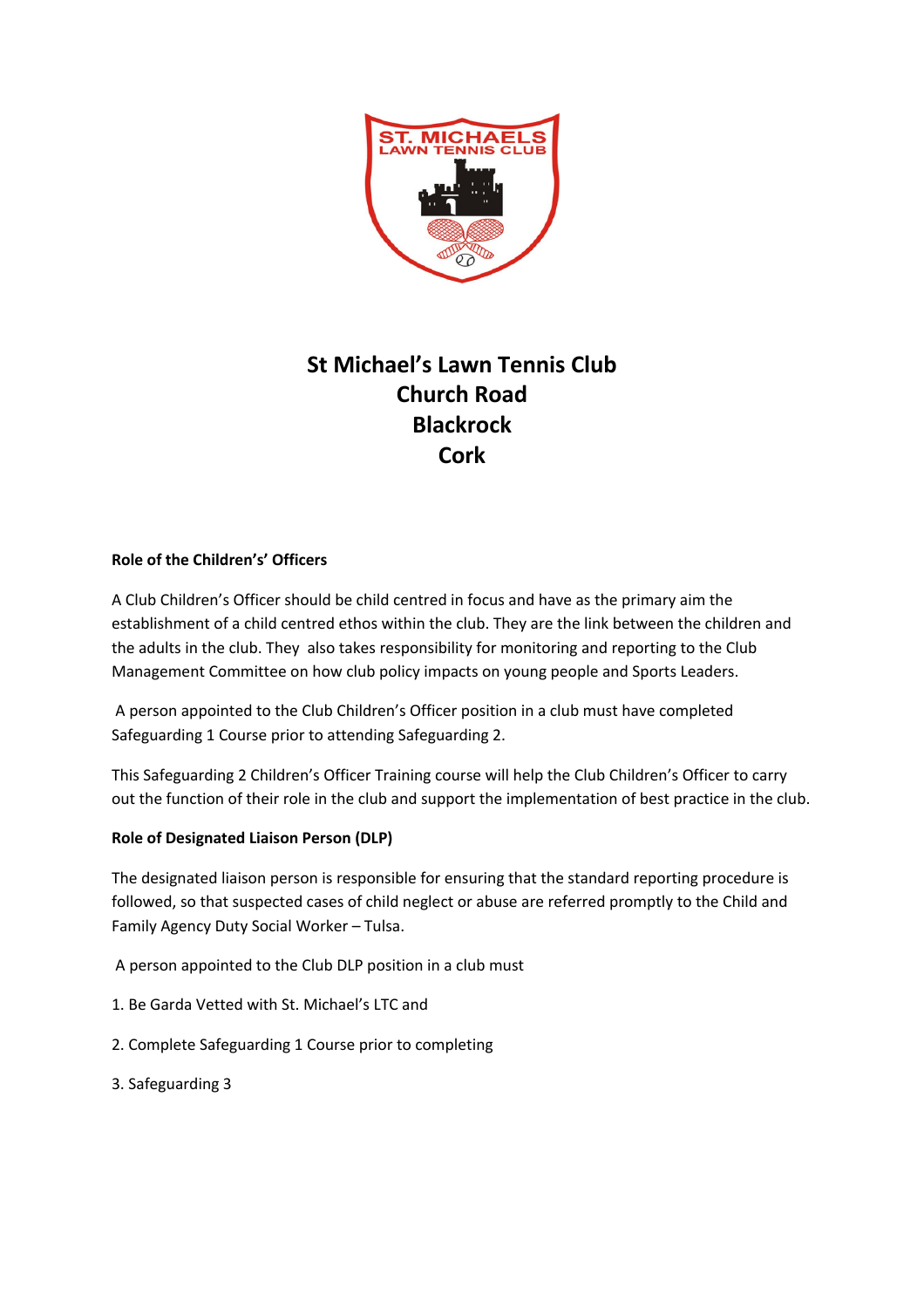

## **St Michael's Lawn Tennis Club Church Road Blackrock Cork**

#### **Role of the Children's' Officers**

A Club Children's Officer should be child centred in focus and have as the primary aim the establishment of a child centred ethos within the club. They are the link between the children and the adults in the club. They also takes responsibility for monitoring and reporting to the Club Management Committee on how club policy impacts on young people and Sports Leaders.

A person appointed to the Club Children's Officer position in a club must have completed Safeguarding 1 Course prior to attending Safeguarding 2.

This Safeguarding 2 Children's Officer Training course will help the Club Children's Officer to carry out the function of their role in the club and support the implementation of best practice in the club.

#### **Role of Designated Liaison Person (DLP)**

The designated liaison person is responsible for ensuring that the standard reporting procedure is followed, so that suspected cases of child neglect or abuse are referred promptly to the Child and Family Agency Duty Social Worker – Tulsa.

A person appointed to the Club DLP position in a club must

- 1. Be Garda Vetted with St. Michael's LTC and
- 2. Complete Safeguarding 1 Course prior to completing
- 3. Safeguarding 3